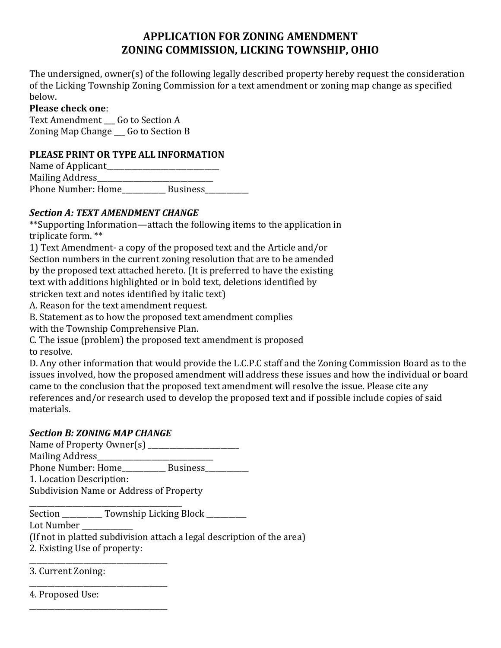# **APPLICATION FOR ZONING AMENDMENT ZONING COMMISSION, LICKING TOWNSHIP, OHIO**

The undersigned, owner(s) of the following legally described property hereby request the consideration of the Licking Township Zoning Commission for a text amendment or zoning map change as specified below.

#### **Please check one**:

Text Amendment Go to Section A Zoning Map Change \_\_\_ Go to Section B

#### **PLEASE PRINT OR TYPE ALL INFORMATION**

| Name of Applicant  |                 |  |
|--------------------|-----------------|--|
| Mailing Address_   |                 |  |
| Phone Number: Home | <b>Business</b> |  |

## *Section A: TEXT AMENDMENT CHANGE*

\*\*Supporting Information—attach the following items to the application in triplicate form. \*\*

1) Text Amendment- a copy of the proposed text and the Article and/or Section numbers in the current zoning resolution that are to be amended by the proposed text attached hereto. (It is preferred to have the existing text with additions highlighted or in bold text, deletions identified by stricken text and notes identified by italic text)

A. Reason for the text amendment request.

B. Statement as to how the proposed text amendment complies

with the Township Comprehensive Plan.

C. The issue (problem) the proposed text amendment is proposed to resolve.

D. Any other information that would provide the L.C.P.C staff and the Zoning Commission Board as to the issues involved, how the proposed amendment will address these issues and how the individual or board came to the conclusion that the proposed text amendment will resolve the issue. Please cite any references and/or research used to develop the proposed text and if possible include copies of said materials.

### *Section B: ZONING MAP CHANGE*

Name of Property Owner(s) \_\_\_\_\_\_\_\_\_\_\_\_\_\_\_\_\_\_\_\_\_\_\_\_\_ Mailing Address\_\_\_\_\_\_\_\_\_\_\_\_\_\_\_\_\_\_\_\_\_\_\_\_\_\_\_\_\_\_\_\_ Phone Number: Home\_\_\_\_\_\_\_\_\_\_\_\_ Business\_\_\_\_\_\_\_\_\_\_\_\_ 1. Location Description:

Subdivision Name or Address of Property

\_\_\_\_\_\_\_\_\_\_\_\_\_\_\_\_\_\_\_\_\_\_\_\_\_\_\_\_\_\_\_\_\_\_\_\_\_\_\_\_\_\_ Section \_\_\_\_\_\_\_\_\_\_ Township Licking Block \_\_\_\_\_\_\_\_\_ Lot Number \_\_\_\_\_\_\_\_\_\_\_\_\_\_

(If not in platted subdivision attach a legal description of the area)

2. Existing Use of property: \_\_\_\_\_\_\_\_\_\_\_\_\_\_\_\_\_\_\_\_\_\_\_\_\_\_\_\_\_\_\_\_\_\_\_\_\_\_

\_\_\_\_\_\_\_\_\_\_\_\_\_\_\_\_\_\_\_\_\_\_\_\_\_\_\_\_\_\_\_\_\_\_\_\_\_\_

3. Current Zoning:

\_\_\_\_\_\_\_\_\_\_\_\_\_\_\_\_\_\_\_\_\_\_\_\_\_\_\_\_\_\_\_\_\_\_\_\_\_\_ 4. Proposed Use: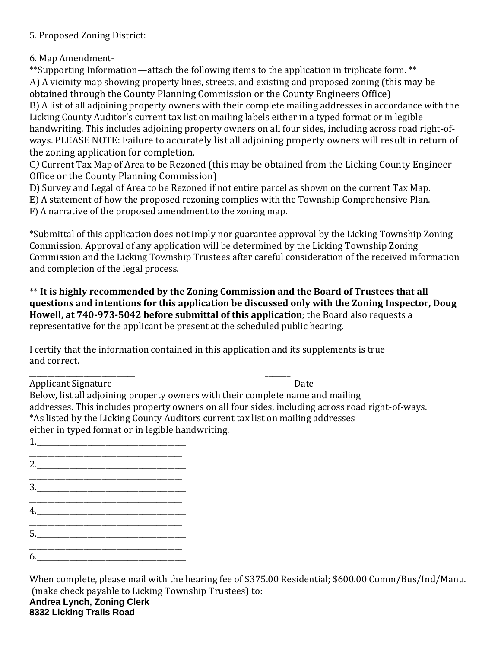5. Proposed Zoning District:

\_\_\_\_\_\_\_\_\_\_\_\_\_\_\_\_\_\_\_\_\_\_\_\_\_\_\_\_\_\_\_\_\_\_\_\_\_\_

6. Map Amendment-

\*\*Supporting Information—attach the following items to the application in triplicate form. \*\* A) A vicinity map showing property lines, streets, and existing and proposed zoning (this may be obtained through the County Planning Commission or the County Engineers Office) B) A list of all adjoining property owners with their complete mailing addresses in accordance with the Licking County Auditor's current tax list on mailing labels either in a typed format or in legible handwriting. This includes adjoining property owners on all four sides, including across road right-ofways. PLEASE NOTE: Failure to accurately list all adjoining property owners will result in return of the zoning application for completion.

C*)* Current Tax Map of Area to be Rezoned (this may be obtained from the Licking County Engineer Office or the County Planning Commission)

D) Survey and Legal of Area to be Rezoned if not entire parcel as shown on the current Tax Map.

E) A statement of how the proposed rezoning complies with the Township Comprehensive Plan.

F) A narrative of the proposed amendment to the zoning map.

\*Submittal of this application does not imply nor guarantee approval by the Licking Township Zoning Commission. Approval of any application will be determined by the Licking Township Zoning Commission and the Licking Township Trustees after careful consideration of the received information and completion of the legal process.

\*\* **It is highly recommended by the Zoning Commission and the Board of Trustees that all questions and intentions for this application be discussed only with the Zoning Inspector, Doug Howell, at 740-973-5042 before submittal of this application**; the Board also requests a representative for the applicant be present at the scheduled public hearing.

I certify that the information contained in this application and its supplements is true and correct.

\_\_\_\_\_\_\_\_\_\_\_\_\_\_\_\_\_\_\_\_\_\_\_\_\_\_\_\_\_ \_\_\_\_\_\_\_ Applicant Signature Date

Below, list all adjoining property owners with their complete name and mailing addresses. This includes property owners on all four sides, including across road right-of-ways. \*As listed by the Licking County Auditors current tax list on mailing addresses either in typed format or in legible handwriting.

1.\_\_\_\_\_\_\_\_\_\_\_\_\_\_\_\_\_\_\_\_\_\_\_\_\_\_\_\_\_\_\_\_\_\_\_\_\_\_\_\_\_ \_\_\_\_\_\_\_\_\_\_\_\_\_\_\_\_\_\_\_\_\_\_\_\_\_\_\_\_\_\_\_\_\_\_\_\_\_\_\_\_\_\_

2.

- \_\_\_\_\_\_\_\_\_\_\_\_\_\_\_\_\_\_\_\_\_\_\_\_\_\_\_\_\_\_\_\_\_\_\_\_\_\_\_\_\_\_ 3.\_\_\_\_\_\_\_\_\_\_\_\_\_\_\_\_\_\_\_\_\_\_\_\_\_\_\_\_\_\_\_\_\_\_\_\_\_\_\_\_\_
- \_\_\_\_\_\_\_\_\_\_\_\_\_\_\_\_\_\_\_\_\_\_\_\_\_\_\_\_\_\_\_\_\_\_\_\_\_\_\_\_\_\_ 4.\_\_\_\_\_\_\_\_\_\_\_\_\_\_\_\_\_\_\_\_\_\_\_\_\_\_\_\_\_\_\_\_\_\_\_\_\_\_\_\_\_
- \_\_\_\_\_\_\_\_\_\_\_\_\_\_\_\_\_\_\_\_\_\_\_\_\_\_\_\_\_\_\_\_\_\_\_\_\_\_\_\_\_\_ 5.\_\_\_\_\_\_\_\_\_\_\_\_\_\_\_\_\_\_\_\_\_\_\_\_\_\_\_\_\_\_\_\_\_\_\_\_\_\_\_\_\_
- $6.$

\_\_\_\_\_\_\_\_\_\_\_\_\_\_\_\_\_\_\_\_\_\_\_\_\_\_\_\_\_\_\_\_\_\_\_\_\_\_\_\_\_\_ When complete, please mail with the hearing fee of \$375.00 Residential; \$600.00 Comm/Bus/Ind/Manu. (make check payable to Licking Township Trustees) to: **Andrea Lynch, Zoning Clerk**

**8332 Licking Trails Road**